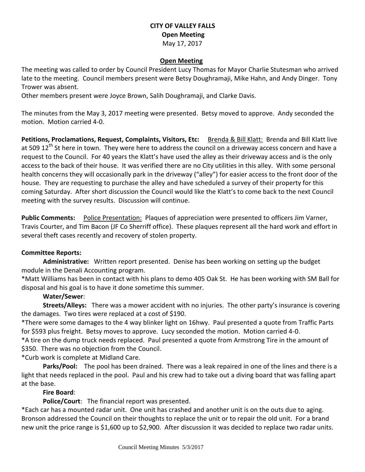### **CITY OF VALLEY FALLS Open Meeting** May 17, 2017

#### **Open Meeting**

The meeting was called to order by Council President Lucy Thomas for Mayor Charlie Stutesman who arrived late to the meeting. Council members present were Betsy Doughramaji, Mike Hahn, and Andy Dinger. Tony Trower was absent.

Other members present were Joyce Brown, Salih Doughramaji, and Clarke Davis.

The minutes from the May 3, 2017 meeting were presented. Betsy moved to approve. Andy seconded the motion. Motion carried 4-0.

Petitions, Proclamations, Request, Complaints, Visitors, Etc: Brenda & Bill Klatt: Brenda and Bill Klatt live at 509 12<sup>th</sup> St here in town. They were here to address the council on a driveway access concern and have a request to the Council. For 40 years the Klatt's have used the alley as their driveway access and is the only access to the back of their house. It was verified there are no City utilities in this alley. With some personal health concerns they will occasionally park in the driveway ("alley") for easier access to the front door of the house. They are requesting to purchase the alley and have scheduled a survey of their property for this coming Saturday. After short discussion the Council would like the Klatt's to come back to the next Council meeting with the survey results. Discussion will continue.

**Public Comments:** Police Presentation: Plaques of appreciation were presented to officers Jim Varner, Travis Courter, and Tim Bacon (JF Co Sherriff office). These plaques represent all the hard work and effort in several theft cases recently and recovery of stolen property.

#### **Committee Reports:**

**Administrative:** Written report presented. Denise has been working on setting up the budget module in the Denali Accounting program.

\*Matt Williams has been in contact with his plans to demo 405 Oak St. He has been working with SM Ball for disposal and his goal is to have it done sometime this summer.

#### **Water/Sewer**:

**Streets/Alleys:** There was a mower accident with no injuries. The other party's insurance is covering the damages. Two tires were replaced at a cost of \$190.

\*There were some damages to the 4 way blinker light on 16hwy. Paul presented a quote from Traffic Parts for \$593 plus freight. Betsy moves to approve. Lucy seconded the motion. Motion carried 4-0.

\*A tire on the dump truck needs replaced. Paul presented a quote from Armstrong Tire in the amount of \$350. There was no objection from the Council.

\*Curb work is complete at Midland Care.

**Parks/Pool:** The pool has been drained. There was a leak repaired in one of the lines and there is a light that needs replaced in the pool. Paul and his crew had to take out a diving board that was falling apart at the base.

#### **Fire Board**:

**Police/Court**: The financial report was presented.

\*Each car has a mounted radar unit. One unit has crashed and another unit is on the outs due to aging. Bronson addressed the Council on their thoughts to replace the unit or to repair the old unit. For a brand new unit the price range is \$1,600 up to \$2,900. After discussion it was decided to replace two radar units.